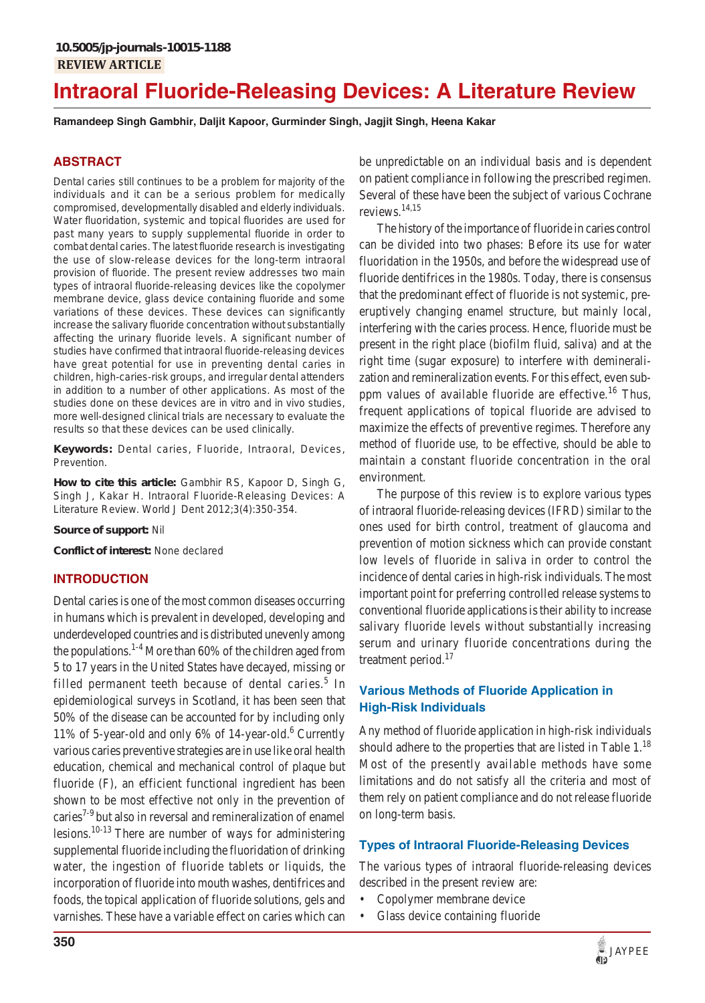# **Intraoral Fluoride-Releasing Devices: A Literature Review**

**Ramandeep Singh Gambhir, Daljit Kapoor, Gurminder Singh, Jagjit Singh, Heena Kakar**

## **ABSTRACT**

Dental caries still continues to be a problem for majority of the individuals and it can be a serious problem for medically compromised, developmentally disabled and elderly individuals. Water fluoridation, systemic and topical fluorides are used for past many years to supply supplemental fluoride in order to combat dental caries. The latest fluoride research is investigating the use of slow-release devices for the long-term intraoral provision of fluoride. The present review addresses two main types of intraoral fluoride-releasing devices like the copolymer membrane device, glass device containing fluoride and some variations of these devices. These devices can significantly increase the salivary fluoride concentration without substantially affecting the urinary fluoride levels. A significant number of studies have confirmed that intraoral fluoride-releasing devices have great potential for use in preventing dental caries in children, high-caries-risk groups, and irregular dental attenders in addition to a number of other applications. As most of the studies done on these devices are *in vitro* and *in vivo* studies, more well-designed clinical trials are necessary to evaluate the results so that these devices can be used clinically.

**Keywords:** Dental caries, Fluoride, Intraoral, Devices, Prevention.

**How to cite this article:** Gambhir RS, Kapoor D, Singh G, Singh J, Kakar H. Intraoral Fluoride-Releasing Devices: A Literature Review. World J Dent 2012;3(4):350-354.

**Source of support:** Nil

**Conflict of interest:** None declared

## **INTRODUCTION**

Dental caries is one of the most common diseases occurring in humans which is prevalent in developed, developing and underdeveloped countries and is distributed unevenly among the populations.<sup>1-4</sup> More than  $60\%$  of the children aged from 5 to 17 years in the United States have decayed, missing or filled permanent teeth because of dental caries.<sup>5</sup> In epidemiological surveys in Scotland, it has been seen that 50% of the disease can be accounted for by including only 11% of 5-year-old and only 6% of 14-year-old.<sup>6</sup> Currently various caries preventive strategies are in use like oral health education, chemical and mechanical control of plaque but fluoride (F), an efficient functional ingredient has been shown to be most effective not only in the prevention of caries<sup>7-9</sup> but also in reversal and remineralization of enamel lesions.10-13 There are number of ways for administering supplemental fluoride including the fluoridation of drinking water, the ingestion of fluoride tablets or liquids, the incorporation of fluoride into mouth washes, dentifrices and foods, the topical application of fluoride solutions, gels and varnishes. These have a variable effect on caries which can

be unpredictable on an individual basis and is dependent on patient compliance in following the prescribed regimen. Several of these have been the subject of various Cochrane reviews.14,15

The history of the importance of fluoride in caries control can be divided into two phases: Before its use for water fluoridation in the 1950s, and before the widespread use of fluoride dentifrices in the 1980s. Today, there is consensus that the predominant effect of fluoride is not systemic, preeruptively changing enamel structure, but mainly local, interfering with the caries process. Hence, fluoride must be present in the right place (biofilm fluid, saliva) and at the right time (sugar exposure) to interfere with demineralization and remineralization events. For this effect, even subppm values of available fluoride are effective.<sup>16</sup> Thus, frequent applications of topical fluoride are advised to maximize the effects of preventive regimes. Therefore any method of fluoride use, to be effective, should be able to maintain a constant fluoride concentration in the oral environment.

The purpose of this review is to explore various types of intraoral fluoride-releasing devices (IFRD) similar to the ones used for birth control, treatment of glaucoma and prevention of motion sickness which can provide constant low levels of fluoride in saliva in order to control the incidence of dental caries in high-risk individuals. The most important point for preferring controlled release systems to conventional fluoride applications is their ability to increase salivary fluoride levels without substantially increasing serum and urinary fluoride concentrations during the treatment period.<sup>17</sup>

# **Various Methods of Fluoride Application in High-Risk Individuals**

Any method of fluoride application in high-risk individuals should adhere to the properties that are listed in Table  $1<sup>18</sup>$ Most of the presently available methods have some limitations and do not satisfy all the criteria and most of them rely on patient compliance and do not release fluoride on long-term basis.

## **Types of Intraoral Fluoride-Releasing Devices**

The various types of intraoral fluoride-releasing devices described in the present review are:

- Copolymer membrane device
- Glass device containing fluoride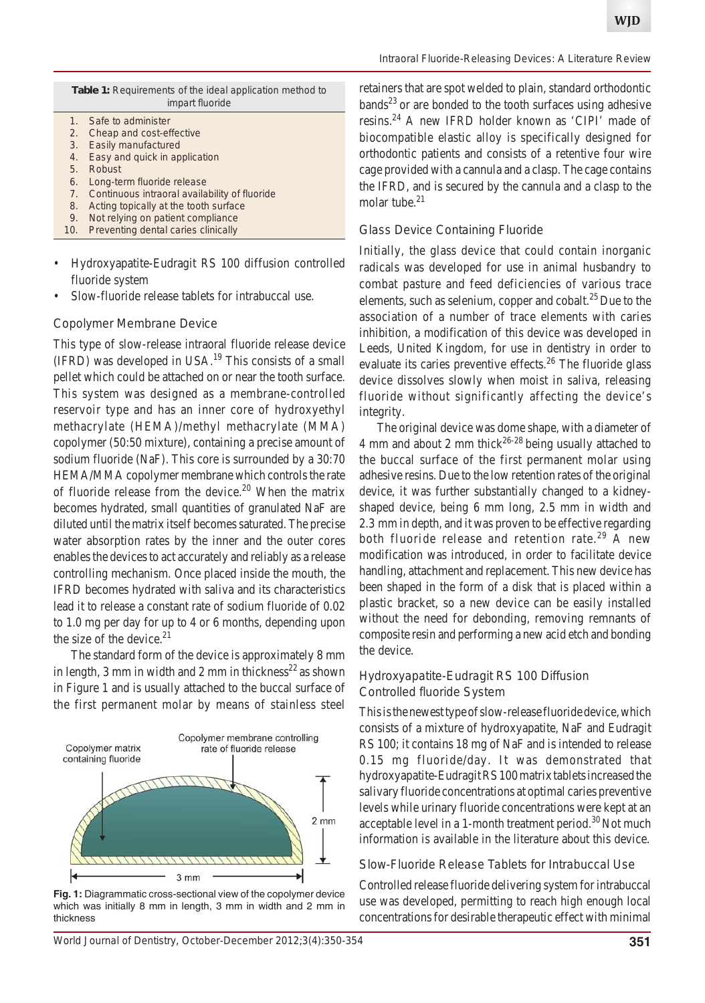| <b>Table 1:</b> Requirements of the ideal application method to |
|-----------------------------------------------------------------|
| impart fluoride                                                 |
|                                                                 |

- 1. Safe to administer 2. Cheap and cost-effective
- 3. Easily manufactured
- 4. Easy and quick in application
- 5. Robust
- 6. Long-term fluoride release
- 7. Continuous intraoral availability of fluoride
- 8. Acting topically at the tooth surface
- 9. Not relying on patient compliance
- 10. Preventing dental caries clinically
- Hydroxyapatite-Eudragit RS 100 diffusion controlled fluoride system
- Slow-fluoride release tablets for intrabuccal use.

#### *Copolymer Membrane Device*

This type of slow-release intraoral fluoride release device (IFRD) was developed in USA.19 This consists of a small pellet which could be attached on or near the tooth surface. This system was designed as a membrane-controlled reservoir type and has an inner core of hydroxyethyl methacrylate (HEMA)/methyl methacrylate (MMA) copolymer (50:50 mixture), containing a precise amount of sodium fluoride (NaF). This core is surrounded by a 30:70 HEMA/MMA copolymer membrane which controls the rate of fluoride release from the device.<sup>20</sup> When the matrix becomes hydrated, small quantities of granulated NaF are diluted until the matrix itself becomes saturated. The precise water absorption rates by the inner and the outer cores enables the devices to act accurately and reliably as a release controlling mechanism. Once placed inside the mouth, the IFRD becomes hydrated with saliva and its characteristics lead it to release a constant rate of sodium fluoride of 0.02 to 1.0 mg per day for up to 4 or 6 months, depending upon the size of the device. $21$ 

The standard form of the device is approximately 8 mm in length, 3 mm in width and 2 mm in thickness<sup>22</sup> as shown in Figure 1 and is usually attached to the buccal surface of the first permanent molar by means of stainless steel



**Fig. 1:** Diagrammatic cross-sectional view of the copolymer device which was initially 8 mm in length, 3 mm in width and 2 mm in thickness

retainers that are spot welded to plain, standard orthodontic  $bands<sup>23</sup>$  or are bonded to the tooth surfaces using adhesive resins.24 A new IFRD holder known as 'CIPI' made of biocompatible elastic alloy is specifically designed for orthodontic patients and consists of a retentive four wire cage provided with a cannula and a clasp. The cage contains the IFRD, and is secured by the cannula and a clasp to the molar tube. $21$ 

#### *Glass Device Containing Fluoride*

Initially, the glass device that could contain inorganic radicals was developed for use in animal husbandry to combat pasture and feed deficiencies of various trace elements, such as selenium, copper and cobalt.<sup>25</sup> Due to the association of a number of trace elements with caries inhibition, a modification of this device was developed in Leeds, United Kingdom, for use in dentistry in order to evaluate its caries preventive effects.<sup>26</sup> The fluoride glass device dissolves slowly when moist in saliva, releasing fluoride without significantly affecting the device's integrity.

The original device was dome shape, with a diameter of 4 mm and about 2 mm thick $2^{6-28}$  being usually attached to the buccal surface of the first permanent molar using adhesive resins. Due to the low retention rates of the original device, it was further substantially changed to a kidneyshaped device, being 6 mm long, 2.5 mm in width and 2.3 mm in depth, and it was proven to be effective regarding both fluoride release and retention rate.<sup>29</sup> A new modification was introduced, in order to facilitate device handling, attachment and replacement. This new device has been shaped in the form of a disk that is placed within a plastic bracket, so a new device can be easily installed without the need for debonding, removing remnants of composite resin and performing a new acid etch and bonding the device.

## *Hydroxyapatite-Eudragit RS 100 Diffusion Controlled fluoride System*

This is the newest type of slow-release fluoride device, which consists of a mixture of hydroxyapatite, NaF and Eudragit RS 100; it contains 18 mg of NaF and is intended to release 0.15 mg fluoride/day. It was demonstrated that hydroxyapatite-Eudragit RS 100 matrix tablets increased the salivary fluoride concentrations at optimal caries preventive levels while urinary fluoride concentrations were kept at an acceptable level in a 1-month treatment period. $30$  Not much information is available in the literature about this device.

## *Slow-Fluoride Release Tablets for Intrabuccal Use*

Controlled release fluoride delivering system for intrabuccal use was developed, permitting to reach high enough local concentrations for desirable therapeutic effect with minimal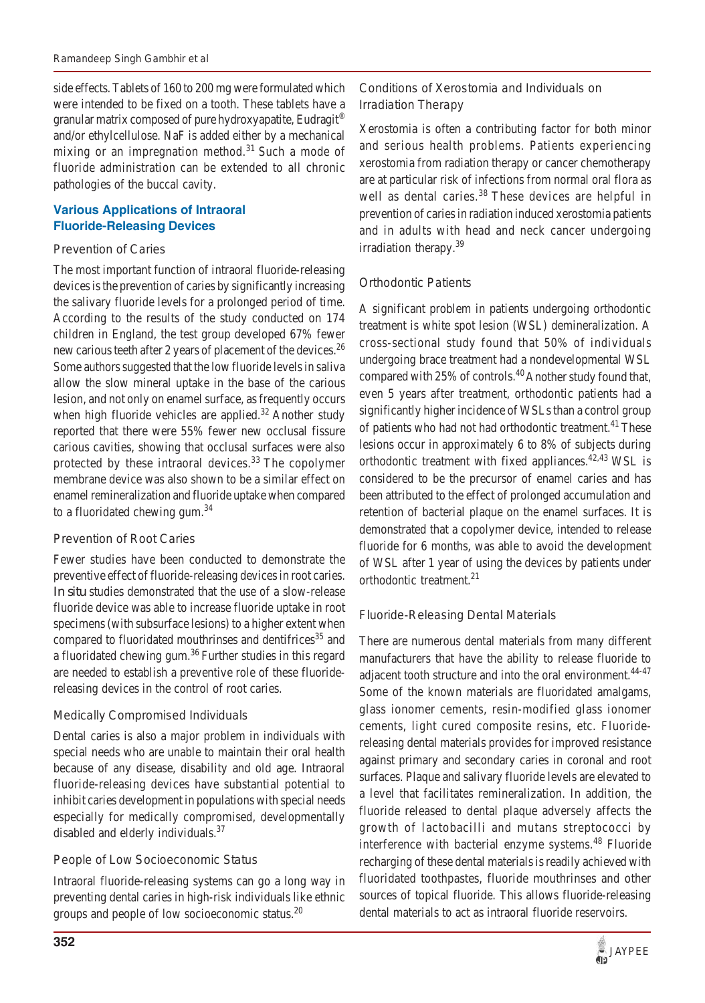side effects. Tablets of 160 to 200 mg were formulated which were intended to be fixed on a tooth. These tablets have a granular matrix composed of pure hydroxyapatite, Eudragit<sup>®</sup> and/or ethylcellulose. NaF is added either by a mechanical mixing or an impregnation method.<sup>31</sup> Such a mode of fluoride administration can be extended to all chronic pathologies of the buccal cavity.

# **Various Applications of Intraoral Fluoride-Releasing Devices**

## *Prevention of Caries*

The most important function of intraoral fluoride-releasing devices is the prevention of caries by significantly increasing the salivary fluoride levels for a prolonged period of time. According to the results of the study conducted on 174 children in England, the test group developed 67% fewer new carious teeth after 2 years of placement of the devices.<sup>26</sup> Some authors suggested that the low fluoride levels in saliva allow the slow mineral uptake in the base of the carious lesion, and not only on enamel surface, as frequently occurs when high fluoride vehicles are applied.<sup>32</sup> Another study reported that there were 55% fewer new occlusal fissure carious cavities, showing that occlusal surfaces were also protected by these intraoral devices.<sup>33</sup> The copolymer membrane device was also shown to be a similar effect on enamel remineralization and fluoride uptake when compared to a fluoridated chewing gum.34

# *Prevention of Root Caries*

Fewer studies have been conducted to demonstrate the preventive effect of fluoride-releasing devices in root caries. *In situ* studies demonstrated that the use of a slow-release fluoride device was able to increase fluoride uptake in root specimens (with subsurface lesions) to a higher extent when compared to fluoridated mouthrinses and dentifrices<sup>35</sup> and a fluoridated chewing gum.<sup>36</sup> Further studies in this regard are needed to establish a preventive role of these fluoridereleasing devices in the control of root caries.

# *Medically Compromised Individuals*

Dental caries is also a major problem in individuals with special needs who are unable to maintain their oral health because of any disease, disability and old age. Intraoral fluoride-releasing devices have substantial potential to inhibit caries development in populations with special needs especially for medically compromised, developmentally disabled and elderly individuals.37

# *People of Low Socioeconomic Status*

Intraoral fluoride-releasing systems can go a long way in preventing dental caries in high-risk individuals like ethnic groups and people of low socioeconomic status.<sup>20</sup>

# *Conditions of Xerostomia and Individuals on Irradiation Therapy*

Xerostomia is often a contributing factor for both minor and serious health problems. Patients experiencing xerostomia from radiation therapy or cancer chemotherapy are at particular risk of infections from normal oral flora as well as dental caries.<sup>38</sup> These devices are helpful in prevention of caries in radiation induced xerostomia patients and in adults with head and neck cancer undergoing irradiation therapy.<sup>39</sup>

# *Orthodontic Patients*

A significant problem in patients undergoing orthodontic treatment is white spot lesion (WSL) demineralization. A cross-sectional study found that 50% of individuals undergoing brace treatment had a nondevelopmental WSL compared with 25% of controls.<sup>40</sup> Another study found that, even 5 years after treatment, orthodontic patients had a significantly higher incidence of WSLs than a control group of patients who had not had orthodontic treatment.<sup>41</sup> These lesions occur in approximately 6 to 8% of subjects during orthodontic treatment with fixed appliances.42,43 WSL is considered to be the precursor of enamel caries and has been attributed to the effect of prolonged accumulation and retention of bacterial plaque on the enamel surfaces. It is demonstrated that a copolymer device, intended to release fluoride for 6 months, was able to avoid the development of WSL after 1 year of using the devices by patients under orthodontic treatment.<sup>21</sup>

# *Fluoride-Releasing Dental Materials*

There are numerous dental materials from many different manufacturers that have the ability to release fluoride to adjacent tooth structure and into the oral environment.<sup>44-47</sup> Some of the known materials are fluoridated amalgams, glass ionomer cements, resin-modified glass ionomer cements, light cured composite resins, etc. Fluoridereleasing dental materials provides for improved resistance against primary and secondary caries in coronal and root surfaces. Plaque and salivary fluoride levels are elevated to a level that facilitates remineralization. In addition, the fluoride released to dental plaque adversely affects the growth of lactobacilli and mutans streptococci by interference with bacterial enzyme systems.<sup>48</sup> Fluoride recharging of these dental materials is readily achieved with fluoridated toothpastes, fluoride mouthrinses and other sources of topical fluoride. This allows fluoride-releasing dental materials to act as intraoral fluoride reservoirs.

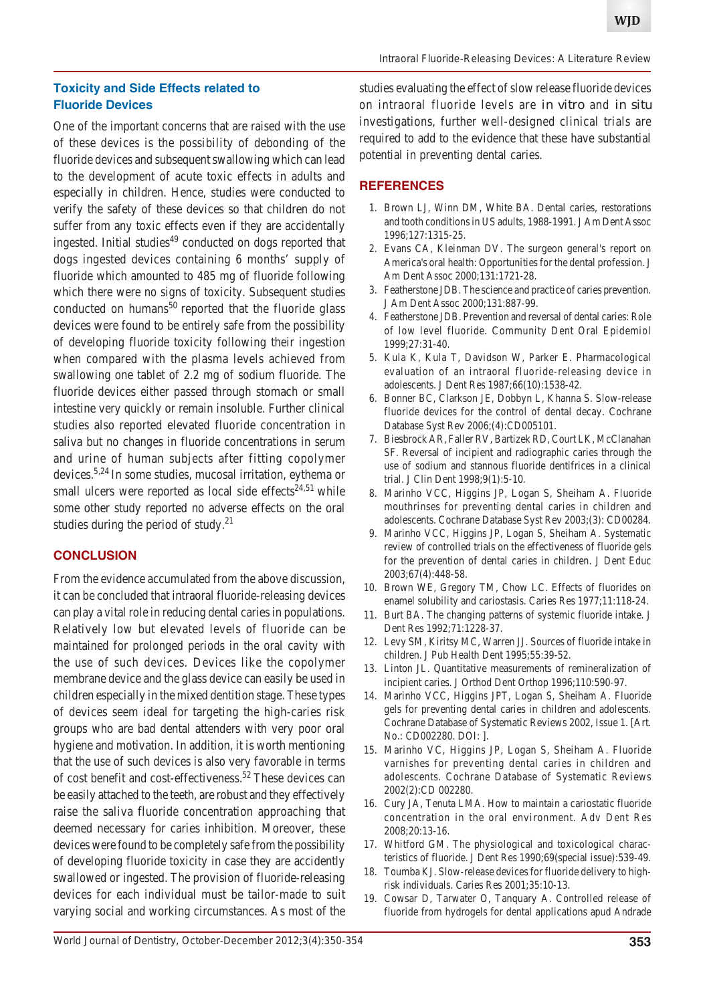# **Toxicity and Side Effects related to Fluoride Devices**

One of the important concerns that are raised with the use of these devices is the possibility of debonding of the fluoride devices and subsequent swallowing which can lead to the development of acute toxic effects in adults and especially in children. Hence, studies were conducted to verify the safety of these devices so that children do not suffer from any toxic effects even if they are accidentally ingested. Initial studies<sup>49</sup> conducted on dogs reported that dogs ingested devices containing 6 months' supply of fluoride which amounted to 485 mg of fluoride following which there were no signs of toxicity. Subsequent studies conducted on humans<sup>50</sup> reported that the fluoride glass devices were found to be entirely safe from the possibility of developing fluoride toxicity following their ingestion when compared with the plasma levels achieved from swallowing one tablet of 2.2 mg of sodium fluoride. The fluoride devices either passed through stomach or small intestine very quickly or remain insoluble. Further clinical studies also reported elevated fluoride concentration in saliva but no changes in fluoride concentrations in serum and urine of human subjects after fitting copolymer devices.5,24 In some studies, mucosal irritation, eythema or small ulcers were reported as local side effects<sup>24,51</sup> while some other study reported no adverse effects on the oral studies during the period of study. $^{21}$ 

## **CONCLUSION**

From the evidence accumulated from the above discussion, it can be concluded that intraoral fluoride-releasing devices can play a vital role in reducing dental caries in populations. Relatively low but elevated levels of fluoride can be maintained for prolonged periods in the oral cavity with the use of such devices. Devices like the copolymer membrane device and the glass device can easily be used in children especially in the mixed dentition stage. These types of devices seem ideal for targeting the high-caries risk groups who are bad dental attenders with very poor oral hygiene and motivation. In addition, it is worth mentioning that the use of such devices is also very favorable in terms of cost benefit and cost-effectiveness.<sup>52</sup> These devices can be easily attached to the teeth, are robust and they effectively raise the saliva fluoride concentration approaching that deemed necessary for caries inhibition. Moreover, these devices were found to be completely safe from the possibility of developing fluoride toxicity in case they are accidently swallowed or ingested. The provision of fluoride-releasing devices for each individual must be tailor-made to suit varying social and working circumstances. As most of the

studies evaluating the effect of slow release fluoride devices on intraoral fluoride levels are *in vitro* and *in situ* investigations, further well-designed clinical trials are required to add to the evidence that these have substantial potential in preventing dental caries.

## **REFERENCES**

- 1. Brown LJ, Winn DM, White BA. Dental caries, restorations and tooth conditions in US adults, 1988-1991. J Am Dent Assoc 1996;127:1315-25.
- 2. Evans CA, Kleinman DV. The surgeon general's report on America's oral health: Opportunities for the dental profession. J Am Dent Assoc 2000;131:1721-28.
- 3. Featherstone JDB. The science and practice of caries prevention. J Am Dent Assoc 2000;131:887-99.
- 4. Featherstone JDB. Prevention and reversal of dental caries: Role of low level fluoride. Community Dent Oral Epidemiol 1999;27:31-40.
- 5. Kula K, Kula T, Davidson W, Parker E. Pharmacological evaluation of an intraoral fluoride-releasing device in adolescents. J Dent Res 1987;66(10):1538-42.
- 6. Bonner BC, Clarkson JE, Dobbyn L, Khanna S. Slow-release fluoride devices for the control of dental decay. Cochrane Database Syst Rev 2006;(4):CD005101.
- 7. Biesbrock AR, Faller RV, Bartizek RD, Court LK, McClanahan SF. Reversal of incipient and radiographic caries through the use of sodium and stannous fluoride dentifrices in a clinical trial. J Clin Dent 1998;9(1):5-10.
- 8. Marinho VCC, Higgins JP, Logan S, Sheiham A. Fluoride mouthrinses for preventing dental caries in children and adolescents. Cochrane Database Syst Rev 2003;(3): CD00284.
- 9. Marinho VCC, Higgins JP, Logan S, Sheiham A. Systematic review of controlled trials on the effectiveness of fluoride gels for the prevention of dental caries in children. J Dent Educ 2003;67(4):448-58.
- 10. Brown WE, Gregory TM, Chow LC. Effects of fluorides on enamel solubility and cariostasis. Caries Res 1977;11:118-24.
- 11. Burt BA. The changing patterns of systemic fluoride intake. J Dent Res 1992;71:1228-37.
- 12. Levy SM, Kiritsy MC, Warren JJ. Sources of fluoride intake in children. J Pub Health Dent 1995;55:39-52.
- 13. Linton JL. Quantitative measurements of remineralization of incipient caries. J Orthod Dent Orthop 1996;110:590-97.
- 14. Marinho VCC, Higgins JPT, Logan S, Sheiham A. Fluoride gels for preventing dental caries in children and adolescents. Cochrane Database of Systematic Reviews 2002, Issue 1. [Art. No.: CD002280. DOI: ].
- 15. Marinho VC, Higgins JP, Logan S, Sheiham A. Fluoride varnishes for preventing dental caries in children and adolescents. Cochrane Database of Systematic Reviews 2002(2):CD 002280.
- 16. Cury JA, Tenuta LMA. How to maintain a cariostatic fluoride concentration in the oral environment. Adv Dent Res 2008;20:13-16.
- 17. Whitford GM. The physiological and toxicological characteristics of fluoride. J Dent Res 1990;69(special issue):539-49.
- 18. Toumba KJ. Slow-release devices for fluoride delivery to highrisk individuals. Caries Res 2001;35:10-13.
- 19. Cowsar D, Tarwater O, Tanquary A. Controlled release of fluoride from hydrogels for dental applications apud Andrade